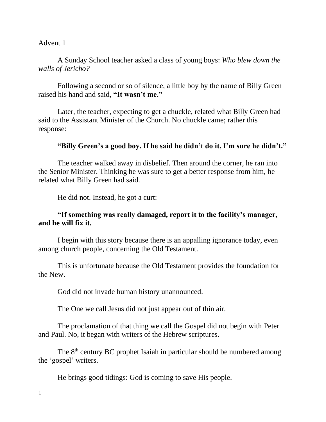### Advent 1

# A Sunday School teacher asked a class of young boys: *Who blew down the walls of Jericho?*

Following a second or so of silence, a little boy by the name of Billy Green raised his hand and said, **"It wasn't me."**

Later, the teacher, expecting to get a chuckle, related what Billy Green had said to the Assistant Minister of the Church. No chuckle came; rather this response:

## **"Billy Green's a good boy. If he said he didn't do it, I'm sure he didn't."**

The teacher walked away in disbelief. Then around the corner, he ran into the Senior Minister. Thinking he was sure to get a better response from him, he related what Billy Green had said.

He did not. Instead, he got a curt:

## **"If something was really damaged, report it to the facility's manager, and he will fix it.**

I begin with this story because there is an appalling ignorance today, even among church people, concerning the Old Testament.

This is unfortunate because the Old Testament provides the foundation for the New.

God did not invade human history unannounced.

The One we call Jesus did not just appear out of thin air.

The proclamation of that thing we call the Gospel did not begin with Peter and Paul. No, it began with writers of the Hebrew scriptures.

The 8<sup>th</sup> century BC prophet Isaiah in particular should be numbered among the 'gospel' writers.

He brings good tidings: God is coming to save His people.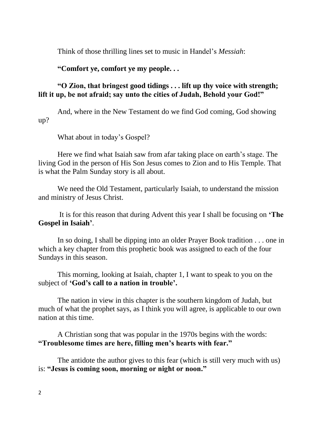Think of those thrilling lines set to music in Handel's *Messiah*:

## **"Comfort ye, comfort ye my people. . .**

## **"O Zion, that bringest good tidings . . . lift up thy voice with strength; lift it up, be not afraid; say unto the cities of Judah, Behold your God!"**

And, where in the New Testament do we find God coming, God showing up?

What about in today's Gospel?

Here we find what Isaiah saw from afar taking place on earth's stage. The living God in the person of His Son Jesus comes to Zion and to His Temple. That is what the Palm Sunday story is all about.

We need the Old Testament, particularly Isaiah, to understand the mission and ministry of Jesus Christ.

It is for this reason that during Advent this year I shall be focusing on **'The Gospel in Isaiah'**.

In so doing, I shall be dipping into an older Prayer Book tradition . . . one in which a key chapter from this prophetic book was assigned to each of the four Sundays in this season.

This morning, looking at Isaiah, chapter 1, I want to speak to you on the subject of **'God's call to a nation in trouble'.** 

The nation in view in this chapter is the southern kingdom of Judah, but much of what the prophet says, as I think you will agree, is applicable to our own nation at this time.

A Christian song that was popular in the 1970s begins with the words: **"Troublesome times are here, filling men's hearts with fear."**

The antidote the author gives to this fear (which is still very much with us) is: **"Jesus is coming soon, morning or night or noon."**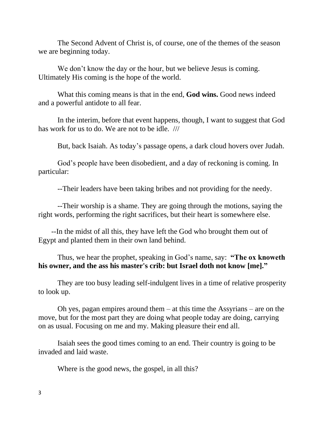The Second Advent of Christ is, of course, one of the themes of the season we are beginning today.

We don't know the day or the hour, but we believe Jesus is coming. Ultimately His coming is the hope of the world.

What this coming means is that in the end, **God wins.** Good news indeed and a powerful antidote to all fear.

In the interim, before that event happens, though, I want to suggest that God has work for us to do. We are not to be idle. ///

But, back Isaiah. As today's passage opens, a dark cloud hovers over Judah.

God's people have been disobedient, and a day of reckoning is coming. In particular:

--Their leaders have been taking bribes and not providing for the needy.

--Their worship is a shame. They are going through the motions, saying the right words, performing the right sacrifices, but their heart is somewhere else.

 --In the midst of all this, they have left the God who brought them out of Egypt and planted them in their own land behind.

Thus, we hear the prophet, speaking in God's name, say: **"The ox knoweth his owner, and the ass his master's crib: but Israel doth not know [me]."** 

They are too busy leading self-indulgent lives in a time of relative prosperity to look up.

Oh yes, pagan empires around them  $-$  at this time the Assyrians  $-$  are on the move, but for the most part they are doing what people today are doing, carrying on as usual. Focusing on me and my. Making pleasure their end all.

Isaiah sees the good times coming to an end. Their country is going to be invaded and laid waste.

Where is the good news, the gospel, in all this?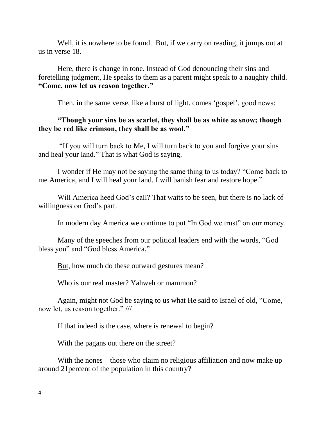Well, it is nowhere to be found. But, if we carry on reading, it jumps out at us in verse 18.

Here, there is change in tone. Instead of God denouncing their sins and foretelling judgment, He speaks to them as a parent might speak to a naughty child. **"Come, now let us reason together."**

Then, in the same verse, like a burst of light. comes 'gospel', good news:

### **"Though your sins be as scarlet, they shall be as white as snow; though they be red like crimson, they shall be as wool."**

"If you will turn back to Me, I will turn back to you and forgive your sins and heal your land." That is what God is saying.

I wonder if He may not be saying the same thing to us today? "Come back to me America, and I will heal your land. I will banish fear and restore hope."

Will America heed God's call? That waits to be seen, but there is no lack of willingness on God's part.

In modern day America we continue to put "In God we trust" on our money.

Many of the speeches from our political leaders end with the words, "God bless you" and "God bless America."

But, how much do these outward gestures mean?

Who is our real master? Yahweh or mammon?

Again, might not God be saying to us what He said to Israel of old, "Come, now let, us reason together." ///

If that indeed is the case, where is renewal to begin?

With the pagans out there on the street?

With the nones – those who claim no religious affiliation and now make up around 21percent of the population in this country?